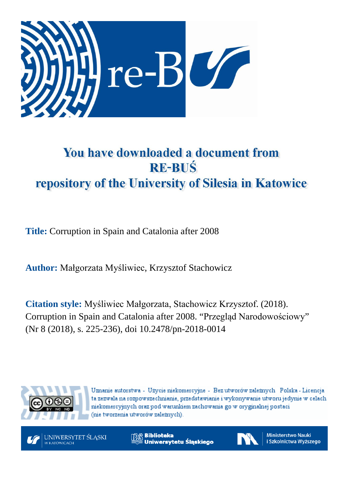

# You have downloaded a document from **RE-BUŚ** repository of the University of Silesia in Katowice

**Title:** Corruption in Spain and Catalonia after 2008

**Author:** Małgorzata Myśliwiec, Krzysztof Stachowicz

**Citation style:** Myśliwiec Małgorzata, Stachowicz Krzysztof. (2018). Corruption in Spain and Catalonia after 2008. "Przegląd Narodowościowy" (Nr 8 (2018), s. 225-236), doi 10.2478/pn-2018-0014



Uznanie autorstwa - Użycie niekomercyjne - Bez utworów zależnych Polska - Licencja ta zezwala na rozpowszechnianie, przedstawianie i wykonywanie utworu jedynie w celach niekomercyjnych oraz pod warunkiem zachowania go w oryginalnej postaci (nie tworzenia utworów zależnych).



**Biblioteka** Uniwersytetu Śląskiego



**Ministerstwo Nauki** i Szkolnictwa Wyższego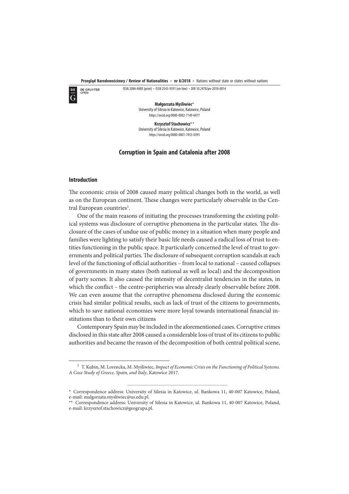**Przegląd Narodowościowy / Review of Nationalities • nr 8/2018 •** Nations without state or states without nations



ISSN 2084-848X (print) • ISSN 2543-9391 (on-line) • DOI 10.2478/pn-2018-0014

**Małgorzata Myśliwiec**\* University of Silesia in Katowice, Katowice, Poland https://orcid.org/0000-0002-7149-6977

**Krzysztof Stachowicz**\*\* University of Silesia in Katowice, Katowice, Poland https://orcid.org/0000-0001-7453-0395

## **Corruption in Spain and Catalonia after 2008**

## **Introduction**

The economic crisis of 2008 caused many political changes both in the world, as well as on the European continent. These changes were particularly observable in the Central European countries<sup>1</sup>.

One of the main reasons of initiating the processes transforming the existing political systems was disclosure of corruptive phenomena in the particular states. The disclosure of the cases of undue use of public money in a situation when many people and families were lighting to satisfy their basic life needs caused a radical loss of trust to entities functioning in the public space. It particularly concerned the level of trust to governments and political parties. The disclosure of subsequent corruption scandals at each level of the functioning of official authorities – from local to national – caused collapses of governments in many states (both national as well as local) and the decomposition of party scenes. It also caused the intensity of decentralist tendencies in the states, in which the conflict – the centre-peripheries was already clearly observable before 2008. We can even assume that the corruptive phenomena disclosed during the economic crisis had similar political results, such as lack of trust of the citizens to governments, which to save national economies were more loyal towards international financial institutions than to their own citizens

Contemporary Spain may be included in the aforementioned cases. Corruptive crimes disclosed in this state after 2008 caused a considerable loss of trust of its citizens to public authorities and became the reason of the decomposition of both central political scene,

 $1$  T. Kubin, M. Lorencka, M. Myśliwiec, Impact of Economic Crisis on the Functioning of Political Systems. A Case Study of Greece, Spain, and Italy, Katowice 2017.

<sup>\*</sup> Correspondence address: University of Silesia in Katowice, ul. Bankowa 11, 40-007 Katowice, Poland, e-mail: malgorzata.mysliwiec@us.edu.pl.

<sup>\*\*</sup> Correspondence address: University of Silesia in Katowice, ul. Bankowa 11, 40-007 Katowice, Poland, e-mail: krzysztof.stachowicz@geogrupa.pl.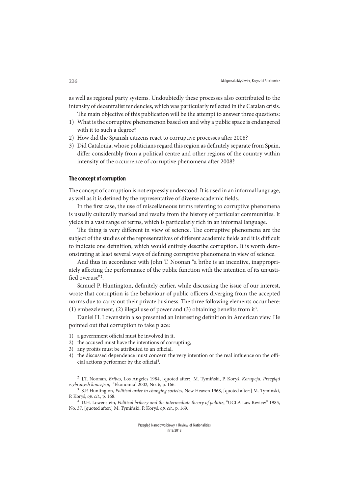as well as regional party systems. Undoubtedly these processes also contributed to the intensity of decentralist tendencies, which was particularly reflected in the Catalan crisis.

The main objective of this publication will be the attempt to answer three questions:

- 1) What is the corruptive phenomenon based on and why a public space is endangered with it to such a degree?
- 2) How did the Spanish citizens react to corruptive processes after 2008?
- 3) Did Catalonia, whose politicians regard this region as definitely separate from Spain, differ considerably from a political centre and other regions of the country within intensity of the occurrence of corruptive phenomena after 2008?

### **The concept of corruption**

The concept of corruption is not expressly understood. It is used in an informal language, as well as it is defined by the representative of diverse academic fields.

In the first case, the use of miscellaneous terms referring to corruptive phenomena is usually culturally marked and results from the history of particular communities. It yields in a vast range of terms, which is particularly rich in an informal language.

The thing is very different in view of science. The corruptive phenomena are the subject of the studies of the representatives of different academic fields and it is difficult to indicate one definition, which would entirely describe corruption. It is worth demonstrating at least several ways of defining corruptive phenomena in view of science.

And thus in accordance with John T. Noonan "a bribe is an incentive, inappropriately affecting the performance of the public function with the intention of its unjustified overuse"<sup>2</sup>.

Samuel P. Huntington, definitely earlier, while discussing the issue of our interest, wrote that corruption is the behaviour of public officers diverging from the accepted norms due to carry out their private business. The three following elements occur here: (1) embezzlement, (2) illegal use of power and (3) obtaining benefits from it<sup>3</sup>.

Daniel H. Lowenstein also presented an interesting definition in American view. He pointed out that corruption to take place:

- 1) a government official must be involved in it,
- 2) the accused must have the intentions of corrupting,
- 3) any profits must be attributed to an official,
- 4) the discussed dependence must concern the very intention or the real influence on the official actions performer by the official<sup>4</sup>.

 $^2$  J.T. Noonan, *Bribes*, Los Angeles 1984, [quoted after:] M. Tymiński, P. Koryś, *Korupcja. Przegląd* wybranych koncepcji, "Ekonomia" 2002, No. 6, p. 166.

<sup>&</sup>lt;sup>3</sup> S.P. Huntington, Political order in changing societes, New Heaven 1968, [quoted after:] M. Tymiński, P. Koryś, op. cit., p. 168.

 $^4$  D.H. Lowenstein, *Political bribery and the intermediate theory of politics*, "UCLA Law Review" 1985, No. 37, [quoted after:] M. Tymiński, P. Koryś, op. cit., p. 169.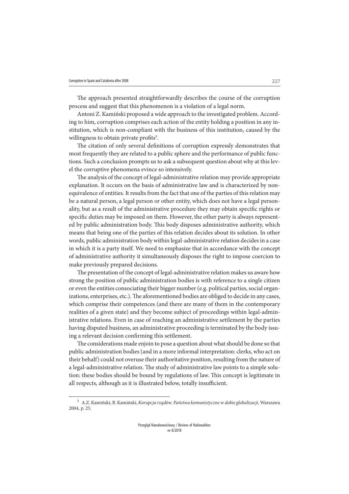The approach presented straightforwardly describes the course of the corruption process and suggest that this phenomenon is a violation of a legal norm.

Antoni Z. Kamiński proposed a wide approach to the investigated problem. According to him, corruption comprises each action of the entity holding a position in any institution, which is non-compliant with the business of this institution, caused by the willingness to obtain private profits<sup>5</sup>.

The citation of only several definitions of corruption expressly demonstrates that most frequently they are related to a public sphere and the performance of public functions. Such a conclusion prompts us to ask a subsequent question about why at this level the corruptive phenomena evince so intensively.

The analysis of the concept of legal-administrative relation may provide appropriate explanation. It occurs on the basis of administrative law and is characterized by nonequivalence of entities. It results from the fact that one of the parties of this relation may be a natural person, a legal person or other entity, which does not have a legal personality, but as a result of the administrative procedure they may obtain specific rights or specific duties may be imposed on them. However, the other party is always represented by public administration body. This body disposes administrative authority, which means that being one of the parties of this relation decides about its solution. In other words, public administration body within legal-administrative relation decides in a case in which it is a party itself. We need to emphasize that in accordance with the concept of administrative authority it simultaneously disposes the right to impose coercion to make previously prepared decisions.

The presentation of the concept of legal-administrative relation makes us aware how strong the position of public administration bodies is with reference to a single citizen or even the entities consociating their bigger number (e.g. political parties, social organizations, enterprises, etc.). The aforementioned bodies are obliged to decide in any cases, which comprise their competences (and there are many of them in the contemporary realities of a given state) and they become subject of proceedings within legal-administrative relations. Even in case of reaching an administrative settlement by the parties having disputed business, an administrative proceeding is terminated by the body issuing a relevant decision confirming this settlement.

The considerations made enjoin to pose a question about what should be done so that public administration bodies (and in a more informal interpretation: clerks, who act on their behalf) could not overuse their authoritative position, resulting from the nature of a legal-administrative relation. The study of administrative law points to a simple solution: these bodies should be bound by regulations of law. !is concept is legitimate in all respects, although as it is illustrated below, totally insufficient.

 $^{\rm 5}~$  A.Z. Kamiński, B. Kamiński, *Korupcja rządów. Państwa komunistyczne w dobie globalizacji*, Warszawa 2004, p. 25.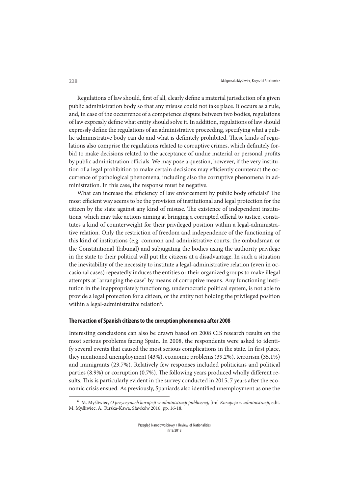Regulations of law should, first of all, clearly define a material jurisdiction of a given public administration body so that any misuse could not take place. It occurs as a rule, and, in case of the occurrence of a competence dispute between two bodies, regulations of law expressly define what entity should solve it. In addition, regulations of law should expressly define the regulations of an administrative proceeding, specifying what a public administrative body can do and what is definitely prohibited. These kinds of regulations also comprise the regulations related to corruptive crimes, which definitely forbid to make decisions related to the acceptance of undue material or personal profits by public administration officials. We may pose a question, however, if the very institution of a legal prohibition to make certain decisions may efficiently counteract the occurrence of pathological phenomena, including also the corruptive phenomena in administration. In this case, the response must be negative.

What can increase the efficiency of law enforcement by public body officials? The most efficient way seems to be the provision of institutional and legal protection for the citizen by the state against any kind of misuse. The existence of independent institutions, which may take actions aiming at bringing a corrupted official to justice, constitutes a kind of counterweight for their privileged position within a legal-administrative relation. Only the restriction of freedom and independence of the functioning of this kind of institutions (e.g. common and administrative courts, the ombudsman or the Constitutional Tribunal) and subjugating the bodies using the authority privilege in the state to their political will put the citizens at a disadvantage. In such a situation the inevitability of the necessity to institute a legal-administrative relation (even in occasional cases) repeatedly induces the entities or their organized groups to make illegal attempts at "arranging the case" by means of corruptive means. Any functioning institution in the inappropriately functioning, undemocratic political system, is not able to provide a legal protection for a citizen, or the entity not holding the privileged position within a legal-administrative relation<sup>6</sup>.

#### **The reaction of Spanish citizens to the corruption phenomena after 2008**

Interesting conclusions can also be drawn based on 2008 CIS research results on the most serious problems facing Spain. In 2008, the respondents were asked to identify several events that caused the most serious complications in the state. In first place, they mentioned unemployment (43%), economic problems (39.2%), terrorism (35.1%) and immigrants (23.7%). Relatively few responses included politicians and political parties  $(8.9\%)$  or corruption  $(0.7\%)$ . The following years produced wholly different results. This is particularly evident in the survey conducted in 2015, 7 years after the economic crisis ensued. As previously, Spaniards also identified unemployment as one the

 $^6\,$  M. Myśliwiec, O przyczynach korupcji w administracji publicznej, [in:] Korupcja w administracji, edit. M. Myśliwiec, A. Turska-Kawa, Sławków 2016, pp. 16-18.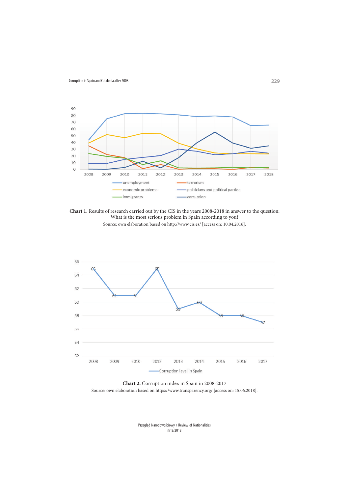

**Chart 1.** Results of research carried out by the CIS in the years 2008-2018 in answer to the question: What is the most serious problem in Spain according to you? Source: own elaboration based on http://www.cis.es/ [access on: 10.04.2016].



Chart 2. Corruption index in Spain in 2008-2017 Source: own elaboration based on https://www.transparency.org/ [access on: 15.06.2018].

Przegląd Narodowościowy / Review of Nationalities nr 8/2018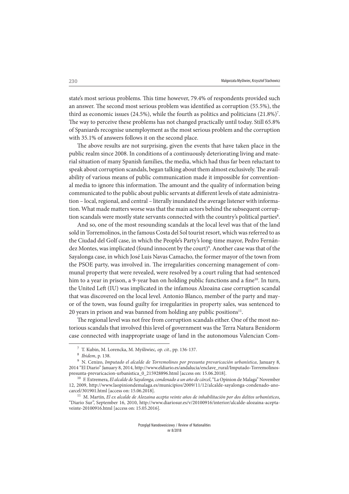state's most serious problems. This time however, 79.4% of respondents provided such an answer. The second most serious problem was identified as corruption (55.5%), the third as economic issues (24.5%), while the fourth as politics and politicians (21.8%)<sup>7</sup>. The way to perceive these problems has not changed practically until today. Still 65.8% of Spaniards recognise unemployment as the most serious problem and the corruption with 35.1% of answers follows it on the second place.

The above results are not surprising, given the events that have taken place in the public realm since 2008. In conditions of a continuously deteriorating living and material situation of many Spanish families, the media, which had thus far been reluctant to speak about corruption scandals, began talking about them almost exclusively. The availability of various means of public communication made it impossible for conventional media to ignore this information. The amount and the quality of information being communicated to the public about public servants at different levels of state administration – local, regional, and central – literally inundated the average listener with information. What made matters worse was that the main actors behind the subsequent corruption scandals were mostly state servants connected with the country's political parties8.

And so, one of the most resounding scandals at the local level was that of the land sold in Torremolinos, in the famous Costa del Sol tourist resort, which was referred to as the Ciudad del Golf case, in which the People's Party's long-time mayor, Pedro Fernández Montes, was implicated (found innocent by the court)<sup>9</sup>. Another case was that of the Sayalonga case, in which José Luis Navas Camacho, the former mayor of the town from the PSOE party, was involved in. The irregularities concerning management of communal property that were revealed, were resolved by a court ruling that had sentenced him to a year in prison, a 9-year ban on holding public functions and a fine<sup>10</sup>. In turn, the United Left (IU) was implicated in the infamous Alzoaina case corruption scandal that was discovered on the local level. Antonio Blanco, member of the party and mayor of the town, was found guilty for irregularities in property sales, was sentenced to 20 years in prison and was banned from holding any public positions<sup>11</sup>.

The regional level was not free from corruption scandals either. One of the most notorious scandals that involved this level of government was the Terra Natura Benidorm case connected with inappropriate usage of land in the autonomous Valencian Com-

<sup>&</sup>lt;sup>7</sup> T. Kubin, M. Lorencka, M. Myśliwiec, op. cit., pp. 136-137.

<sup>8</sup> Ibidem, p. 138.

 $^9\,$  N. Cenizo, Imputado el alcalde de Torremolinos por presunta prevaricación urbanística, January 8, 2014 "El Diario" January 8, 2014, http://www.eldiario.es/andalucia/enclave\_rural/Imputado-Torremolinospresunta-prevaricacion-urbanistica\_0\_215928896.html [access on: 15.06.2018].

<sup>&</sup>lt;sup>10</sup> F. Extremera, *El alcalde de Sayalonga, condenado a un año de cárcel*, "La Opinion de Malaga" November 12, 2009, http://www.laopiniondemalaga.es/municipios/2009/11/12/alcalde-sayalonga-condenado-anocarcel/301901.html [access on: 15.06.2018].

 $11$  M. Martín, El ex alcalde de Alozaina acepta veinte años de inhabilitación por dos delitos urbanísticos, "Diario Sur", September 16, 2010, http://www.diariosur.es/v/20100916/interior/alcalde-alozaina-aceptaveinte-20100916.html [access on: 15.05.2016].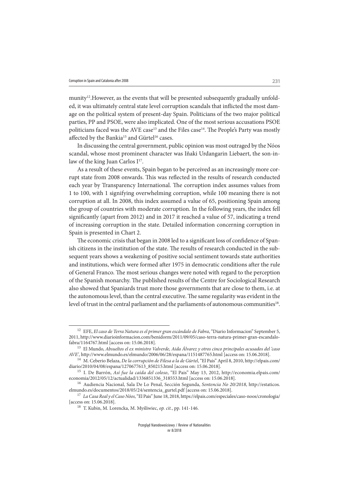munity<sup>12</sup>. However, as the events that will be presented subsequently gradually unfolded, it was ultimately central state level corruption scandals that inflicted the most damage on the political system of present-day Spain. Politicians of the two major political parties, PP and PSOE, were also implicated. One of the most serious accusations PSOE politicians faced was the AVE case<sup>13</sup> and the Files case<sup>14</sup>. The People's Party was mostly affected by the Bankia<sup>15</sup> and Gürtel<sup>16</sup> cases.

In discussing the central government, public opinion was most outraged by the Nóos scandal, whose most prominent character was Iñaki Urdangarin Liebaert, the son-inlaw of the king Juan Carlos I<sup>17</sup>.

As a result of these events, Spain began to be perceived as an increasingly more corrupt state from 2008 onwards. This was reflected in the results of research conducted each year by Transparency International. The corruption index assumes values from 1 to 100, with 1 signifying overwhelming corruption, while 100 meaning there is not corruption at all. In 2008, this index assumed a value of 65, positioning Spain among the group of countries with moderate corruption. In the following years, the index fell significantly (apart from 2012) and in 2017 it reached a value of 57, indicating a trend of increasing corruption in the state. Detailed information concerning corruption in Spain is presented in Chart 2.

The economic crisis that began in 2008 led to a significant loss of confidence of Spanish citizens in the institution of the state. The results of research conducted in the subsequent years shows a weakening of positive social sentiment towards state authorities and institutions, which were formed after 1975 in democratic conditions after the rule of General Franco. The most serious changes were noted with regard to the perception of the Spanish monarchy. The published results of the Centre for Sociological Research also showed that Spaniards trust more those governments that are close to them, i.e. at the autonomous level, than the central executive. The same regularity was evident in the level of trust in the central parliament and the parliaments of autonomous communities<sup>18</sup>.

<sup>&</sup>lt;sup>12</sup> EFE, El caso de Terra Natura es el primer gran escándalo de Fabra, "Diario Informacion" September 5, 2011, http://www.diarioinformacion.com/benidorm/2011/09/05/caso-terra-natura-primer-gran-escandalofabra/1164767.html [access on: 15.06.2018].

 $^{13}\,$  El Mundo, Absueltos el ex ministro Valverde, Aida Álvarez y otros cinco principales acusados del 'caso AVE', http://www.elmundo.es/elmundo/2006/06/28/espana/1151487765.html [access on: 15.06.2018].

<sup>&</sup>lt;sup>14</sup> M. Ceberio Belaza, De la corrupción de Filesa a la de Gürtel, "El Pais" April 8, 2010, http://elpais.com/ diario/2010/04/08/espana/1270677613\_850215.html [access on: 15.06.2018].

<sup>&</sup>lt;sup>15</sup> I. De Barrón, Así fue la caída del coloso, "El Pais" May 13, 2012, http://economia.elpais.com/ economia/2012/05/12/actualidad/1336851336\_318553.html [access on: 15.06.2018].

<sup>&</sup>lt;sup>16</sup> Audiencia Nacional, Sala De Lo Penal, Sección Segunda, Sentencia No 20/2018, http://estaticos. elmundo.es/documentos/2018/05/24/sentencia\_gurtel.pdf [access on: 15.06.2018].

<sup>&</sup>lt;sup>17</sup> La Casa Real y el Caso Nóos, "El Pais" June 18, 2018, https://elpais.com/especiales/caso-noos/cronologia/ [access on: 15.06.2018].

<sup>18</sup> T. Kubin, M. Lorencka, M. Myśliwiec, op. cit., pp. 141-146.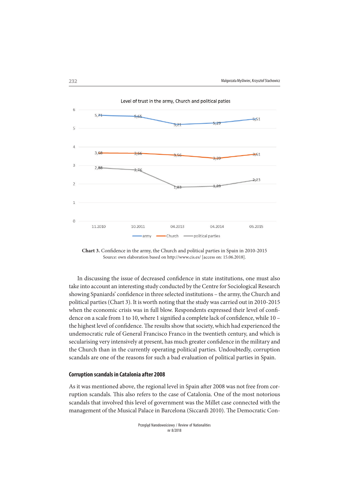

Chart 3. Confidence in the army, the Church and political parties in Spain in 2010-2015 Source: own elaboration based on http://www.cis.es/ [access on: 15.06.2018].

In discussing the issue of decreased confidence in state institutions, one must also take into account an interesting study conducted by the Centre for Sociological Research showing Spaniards' confidence in three selected institutions – the army, the Church and political parties (Chart 3). It is worth noting that the study was carried out in 2010-2015 when the economic crisis was in full blow. Respondents expressed their level of confidence on a scale from 1 to 10, where 1 signified a complete lack of confidence, while 10 – the highest level of confidence. The results show that society, which had experienced the undemocratic rule of General Francisco Franco in the twentieth century, and which is secularising very intensively at present, has much greater confidence in the military and the Church than in the currently operating political parties. Undoubtedly, corruption scandals are one of the reasons for such a bad evaluation of political parties in Spain.

## **Corruption scandals in Catalonia after 2008**

As it was mentioned above, the regional level in Spain after 2008 was not free from corruption scandals. This also refers to the case of Catalonia. One of the most notorious scandals that involved this level of government was the Millet case connected with the management of the Musical Palace in Barcelona (Siccardi 2010). The Democratic Con-

> Przegląd Narodowościowy / Review of Nationalities nr 8/2018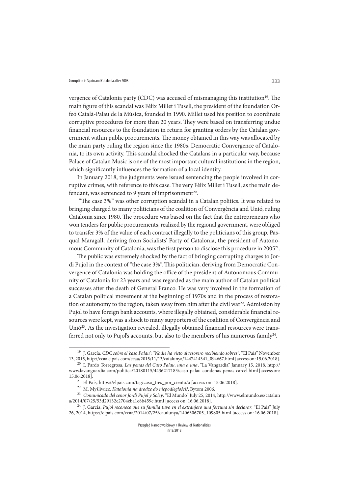vergence of Catalonia party (CDC) was accused of mismanaging this institution<sup>19</sup>. The main figure of this scandal was Fèlix Millet i Tusell, the president of the foundation Orfeó Català-Palau de la Música, founded in 1990. Millet used his position to coordinate corruptive procedures for more than 20 years. They were based on transferring undue financial resources to the foundation in return for granting orders by the Catalan government within public procurements. The money obtained in this way was allocated by the main party ruling the region since the 1980s, Democratic Convergence of Catalonia, to its own activity. This scandal shocked the Catalans in a particular way, because Palace of Catalan Music is one of the most important cultural institutions in the region, which significantly influences the formation of a local identity.

In January 2018, the judgments were issued sentencing the people involved in corruptive crimes, with reference to this case. The very Fèlix Millet i Tusell, as the main defendant, was sentenced to 9 years of imprisonment<sup>20</sup>.

"The case 3%" was other corruption scandal in a Catalan politics. It was related to bringing charged to many politicians of the coalition of Convergència and Unió, ruling Catalonia since 1980. The procedure was based on the fact that the entrepreneurs who won tenders for public procurements, realized by the regional government, were obliged to transfer 3% of the value of each contract illegally to the politicians of this group. Pasqual Maragall, deriving from Socialists' Party of Catalonia, the president of Autonomous Community of Catalonia, was the first person to disclose this procedure in 2005<sup>21</sup>.

The public was extremely shocked by the fact of bringing corrupting charges to Jordi Pujol in the context of "the case 3%". This politician, deriving from Democratic Convergence of Catalonia was holding the office of the president of Autonomous Community of Catalonia for 23 years and was regarded as the main author of Catalan political successes after the death of General Franco. He was very involved in the formation of a Catalan political movement at the beginning of 1970s and in the process of restoration of autonomy to the region, taken away from him after the civil war<sup>22</sup>. Admission by Pujol to have foreign bank accounts, where illegally obtained, considerable financial resources were kept, was a shock to many supporters of the coalition of Convergència and Unió<sup>23</sup>. As the investigation revealed, illegally obtained financial resources were transferred not only to Pujol's accounts, but also to the members of his numerous family<sup>24</sup>.

<sup>&</sup>lt;sup>19</sup> J. García, CDC sobre el 'caso Palau': "Nadie ha visto al tesorero recibiendo sobres", "El Pais" November 13, 2015, http://ccaa.elpais.com/ccaa/2015/11/13/catalunya/1447414341\_094667.html [access on: 15.06.2018].

<sup>20</sup> I. Pardo Torregrosa, Las penas del Caso Palau, una a una, "La Vangardia" January 15, 2018, http:// www.lavanguardia.com/politica/20180115/4436217183/caso-palau-condenas-penas-carcel.html [access on: 15.06.2018].

 $^{21}\,$  El País, https://elpais.com/tag/caso\_tres\_por\_ciento/a [access on: 15.06.2018].

<sup>22</sup> M. Myśliwiec, Katalonia na drodze do niepodległości?, Bytom 2006.

<sup>23</sup> Comunicado del señor Jordi Pujol y Soley, "El Mundo" July 25, 2014, http://www.elmundo.es/catalun a/2014/07/25/53d29132e2704eba1e8b459c.html [access on: 16.06.2018].

 $24$  J. García, Pujol reconoce que su familia tuvo en el extranjero una fortuna sin declarar, "El Pais" July 26, 2014, https://elpais.com/ccaa/2014/07/25/catalunya/1406306705\_109805.html [access on: 16.06.2018].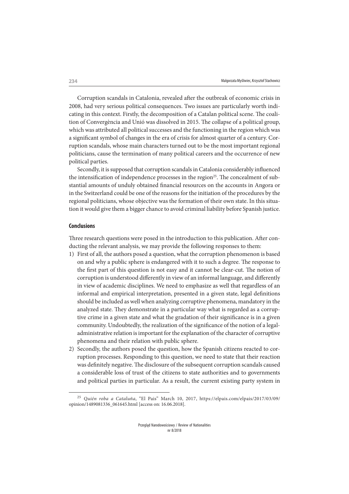Corruption scandals in Catalonia, revealed after the outbreak of economic crisis in 2008, had very serious political consequences. Two issues are particularly worth indicating in this context. Firstly, the decomposition of a Catalan political scene. The coalition of Convergència and Unió was dissolved in 2015. The collapse of a political group, which was attributed all political successes and the functioning in the region which was a significant symbol of changes in the era of crisis for almost quarter of a century. Corruption scandals, whose main characters turned out to be the most important regional politicians, cause the termination of many political careers and the occurrence of new political parties.

Secondly, it is supposed that corruption scandals in Catalonia considerably influenced the intensification of independence processes in the region<sup>25</sup>. The concealment of substantial amounts of unduly obtained financial resources on the accounts in Angora or in the Switzerland could be one of the reasons for the initiation of the procedures by the regional politicians, whose objective was the formation of their own state. In this situation it would give them a bigger chance to avoid criminal liability before Spanish justice.

## **Conclusions**

Three research questions were posed in the introduction to this publication. After conducting the relevant analysis, we may provide the following responses to them:

- 1) First of all, the authors posed a question, what the corruption phenomenon is based on and why a public sphere is endangered with it to such a degree. The response to the first part of this question is not easy and it cannot be clear-cut. The notion of corruption is understood differently in view of an informal language, and differently in view of academic disciplines. We need to emphasize as well that regardless of an informal and empirical interpretation, presented in a given state, legal definitions should be included as well when analyzing corruptive phenomena, mandatory in the analyzed state. They demonstrate in a particular way what is regarded as a corruptive crime in a given state and what the gradation of their significance is in a given community. Undoubtedly, the realization of the significance of the notion of a legaladministrative relation is important for the explanation of the character of corruptive phenomena and their relation with public sphere.
- 2) Secondly, the authors posed the question, how the Spanish citizens reacted to corruption processes. Responding to this question, we need to state that their reaction was definitely negative. The disclosure of the subsequent corruption scandals caused a considerable loss of trust of the citizens to state authorities and to governments and political parties in particular. As a result, the current existing party system in

<sup>25</sup> Quién roba a Cataluña, "El Pais" March 10, 2017, https://elpais.com/elpais/2017/03/09/ opinion/1489081336\_061645.html [access on: 16.06.2018].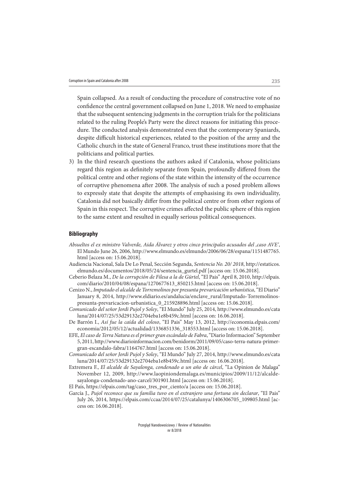Spain collapsed. As a result of conducting the procedure of constructive vote of no confidence the central government collapsed on June 1, 2018. We need to emphasize that the subsequent sentencing judgments in the corruption trials for the politicians related to the ruling People's Party were the direct reasons for initiating this procedure. The conducted analysis demonstrated even that the contemporary Spaniards, despite difficult historical experiences, related to the position of the army and the Catholic church in the state of General Franco, trust these institutions more that the politicians and political parties.

3) In the third research questions the authors asked if Catalonia, whose politicians regard this region as definitely separate from Spain, profoundly differed from the political centre and other regions of the state within the intensity of the occurrence of corruptive phenomena after 2008. The analysis of such a posed problem allows to expressly state that despite the attempts of emphasising its own individuality, Catalonia did not basically differ from the political centre or from other regions of Spain in this respect. The corruptive crimes affected the public sphere of this region to the same extent and resulted in equally serious political consequences.

## **Bibliography**

- Absueltos el ex ministro Valverde, Aida Álvarez y otros cinco principales acusados del ,caso AVE', El Mundo June 26, 2006, http://www.elmundo.es/elmundo/2006/06/28/espana/1151487765. html [access on: 15.06.2018].
- Audiencia Nacional, Sala De Lo Penal, Sección Segunda, Sentencia No. 20/ 2018, http://estaticos. elmundo.es/documentos/2018/05/24/sentencia\_gurtel.pdf [access on: 15.06.2018].
- Ceberio Belaza M., De la corrupción de Filesa a la de Gürtel, "El Pais" April 8, 2010, http://elpais. com/diario/2010/04/08/espana/1270677613\_850215.html [access on: 15.06.2018].
- Cenizo N., Imputado el alcalde de Torremolinos por presunta prevaricación urbanística, "El Diario" January 8, 2014, http://www.eldiario.es/andalucia/enclave\_rural/Imputado-Torremolinospresunta-prevaricacion-urbanistica\_0\_215928896.html [access on: 15.06.2018].
- Comunicado del señor Jordi Pujol y Soley, "El Mundo" July 25, 2014, http://www.elmundo.es/cata luna/2014/07/25/53d29132e2704eba1e8b459c.html [access on: 16.06.2018].
- De Barrón I., Así fue la caída del coloso, "El Pais" May 13, 2012, http://economia.elpais.com/ economia/2012/05/12/actualidad/1336851336\_318553.html [access on: 15.06.2018].
- EFE, El caso de Terra Natura es el primer gran escándalo de Fabra, "Diario Informacion" September 5, 2011, http://www.diarioinformacion.com/benidorm/2011/09/05/caso-terra-natura-primergran-escandalo-fabra/1164767.html [access on: 15.06.2018].
- Comunicado del señor Jordi Pujol y Soley, "El Mundo" July 27, 2014, http://www.elmundo.es/cata luna/2014/07/25/53d29132e2704eba1e8b459c.html [access on: 16.06.2018].
- Extremera F., El alcalde de Sayalonga, condenado a un año de cárcel, "La Opinion de Malaga" November 12, 2009, http://www.laopiniondemalaga.es/municipios/2009/11/12/alcaldesayalonga-condenado-ano-carcel/301901.html [access on: 15.06.2018].

El País, https://elpais.com/tag/caso\_tres\_por\_ciento/a [access on: 15.06.2018].

García J., Pujol reconoce que su familia tuvo en el extranjero una fortuna sin declarar, "El Pais" July 26, 2014, https://elpais.com/ccaa/2014/07/25/catalunya/1406306705\_109805.html [access on: 16.06.2018].